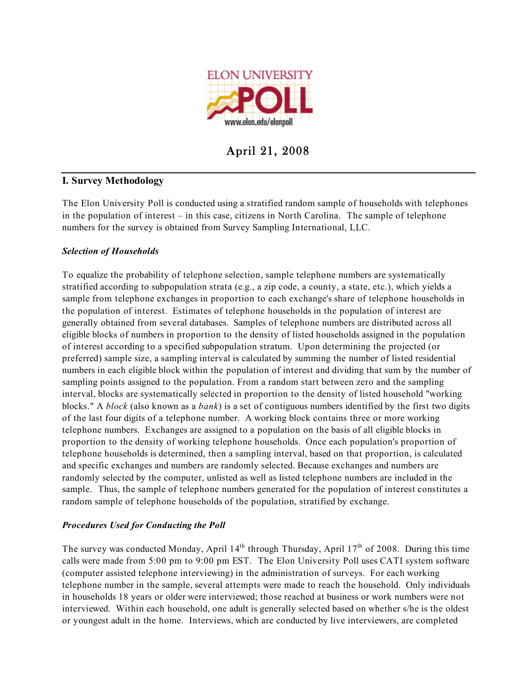

April 21, 2008

# **I. Survey Methodology**

The Elon University Poll is conducted using a stratified random sample of households with telephones in the population of interest – in this case, citizens in North Carolina. The sample of telephone numbers for the survey is obtained from Survey Sampling International, LLC.

# *Selection of Households*

To equalize the probability of telephone selection, sample telephone numbers are systematically stratified according to subpopulation strata (e.g., a zip code, a county, a state, etc.), which yields a sample from telephone exchanges in proportion to each exchange's share of telephone households in the population of interest. Estimates of telephone households in the population of interest are generally obtained from several databases. Samples of telephone numbers are distributed across all eligible blocks of numbers in proportion to the density of listed households assigned in the population of interest according to a specified subpopulation stratum. Upon determining the projected (or preferred) sample size, a sampling interval is calculated by summing the number of listed residential numbers in each eligible block within the population of interest and dividing that sum by the number of sampling points assigned to the population. From a random start between zero and the sampling interval, blocks are systematically selected in proportion to the density of listed household "working blocks." A *block* (also known as a *bank*) is a set of contiguous numbers identified by the first two digits of the last four digits of a telephone number. A working block contains three or more working telephone numbers. Exchanges are assigned to a population on the basis of all eligible blocks in proportion to the density of working telephone households. Once each population's proportion of telephone households is determined, then a sampling interval, based on that proportion, is calculated and specific exchanges and numbers are randomly selected. Because exchanges and numbers are randomly selected by the computer, unlisted as well as listed telephone numbers are included in the sample. Thus, the sample of telephone numbers generated for the population of interest constitutes a random sample of telephone households of the population, stratified by exchange.

## *Procedures Used for Conducting the Poll*

The survey was conducted Monday, April  $14<sup>th</sup>$  through Thursday, April  $17<sup>th</sup>$  of 2008. During this time calls were made from 5:00 pm to 9:00 pm EST. The Elon University Poll uses CATI system software (computer assisted telephone interviewing) in the administration of surveys. For each working telephone number in the sample, several attempts were made to reach the household. Only individuals in households 18 years or older were interviewed; those reached at business or work numbers were not interviewed. Within each household, one adult is generally selected based on whether s/he is the oldest or youngest adult in the home. Interviews, which are conducted by live interviewers, are completed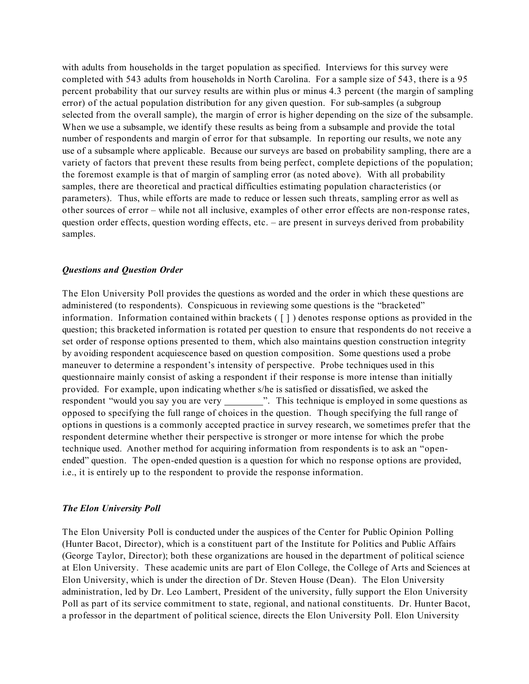with adults from households in the target population as specified. Interviews for this survey were completed with 543 adults from households in North Carolina. For a sample size of 543, there is a 95 percent probability that our survey results are within plus or minus 4.3 percent (the margin of sampling error) of the actual population distribution for any given question. For sub-samples (a subgroup selected from the overall sample), the margin of error is higher depending on the size of the subsample. When we use a subsample, we identify these results as being from a subsample and provide the total number of respondents and margin of error for that subsample. In reporting our results, we note any use of a subsample where applicable. Because our surveys are based on probability sampling, there are a variety of factors that prevent these results from being perfect, complete depictions of the population; the foremost example is that of margin of sampling error (as noted above). With all probability samples, there are theoretical and practical difficulties estimating population characteristics (or parameters). Thus, while efforts are made to reduce or lessen such threats, sampling error as well as other sources of error – while not all inclusive, examples of other error effects are non-response rates, question order effects, question wording effects, etc. – are present in surveys derived from probability samples.

#### *Questions and Question Order*

The Elon University Poll provides the questions as worded and the order in which these questions are administered (to respondents). Conspicuous in reviewing some questions is the "bracketed" information. Information contained within brackets ( [ ] ) denotes response options as provided in the question; this bracketed information is rotated per question to ensure that respondents do not receive a set order of response options presented to them, which also maintains question construction integrity by avoiding respondent acquiescence based on question composition. Some questions used a probe maneuver to determine a respondent's intensity of perspective. Probe techniques used in this questionnaire mainly consist of asking a respondent if their response is more intense than initially provided. For example, upon indicating whether s/he is satisfied or dissatisfied, we asked the respondent "would you say you are very \_\_\_\_\_\_\_\_\_". This technique is employed in some questions as opposed to specifying the full range of choices in the question. Though specifying the full range of options in questions is a commonly accepted practice in survey research, we sometimes prefer that the respondent determine whether their perspective is stronger or more intense for which the probe technique used. Another method for acquiring information from respondents is to ask an "openended" question. The open-ended question is a question for which no response options are provided, i.e., it is entirely up to the respondent to provide the response information.

## *The Elon University Poll*

The Elon University Poll is conducted under the auspices of the Center for Public Opinion Polling (Hunter Bacot, Director), which is a constituent part of the Institute for Politics and Public Affairs (George Taylor, Director); both these organizations are housed in the department of political science at Elon University. These academic units are part of Elon College, the College of Arts and Sciences at Elon University, which is under the direction of Dr. Steven House (Dean). The Elon University administration, led by Dr. Leo Lambert, President of the university, fully support the Elon University Poll as part of its service commitment to state, regional, and national constituents. Dr. Hunter Bacot, a professor in the department of political science, directs the Elon University Poll. Elon University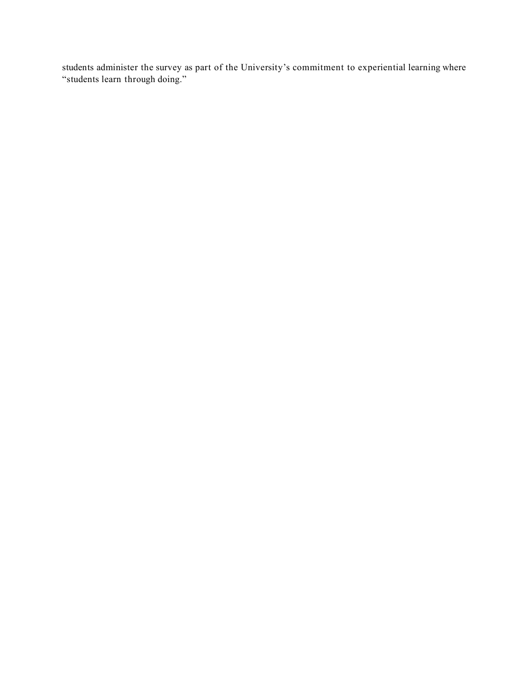students administer the survey as part of the University's commitment to experiential learning where "students learn through doing."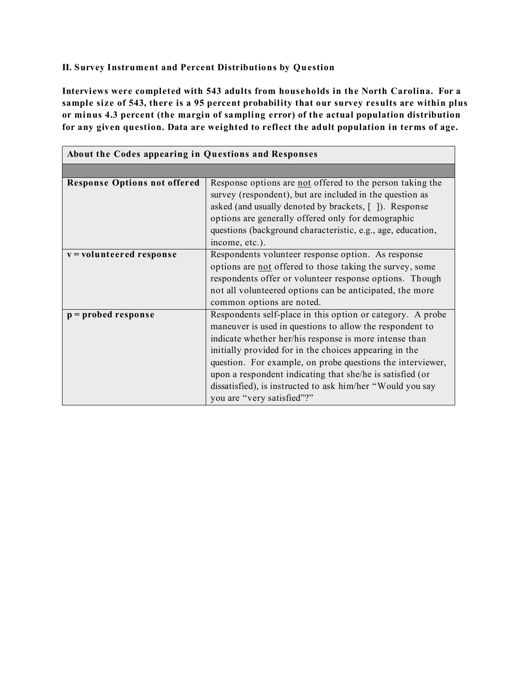# **II. Survey Instrument and Percent Distributions by Question**

**Interviews were completed with 543 adults from households in the North Carolina. For a sample siz e of 543, there is a 95 percent probability that our survey results are within plus or minus 4.3 percent (the margin of sampling error) of the actual population distribution for any given question. Data are weighted to reflect the adult population in terms of age.**

| About the Codes appearing in Questions and Responses |                                                                                                                                                                                                                                                                                                                                                                                                                                                                   |  |  |  |
|------------------------------------------------------|-------------------------------------------------------------------------------------------------------------------------------------------------------------------------------------------------------------------------------------------------------------------------------------------------------------------------------------------------------------------------------------------------------------------------------------------------------------------|--|--|--|
|                                                      |                                                                                                                                                                                                                                                                                                                                                                                                                                                                   |  |  |  |
| <b>Response Options not offered</b>                  | Response options are not offered to the person taking the<br>survey (respondent), but are included in the question as<br>asked (and usually denoted by brackets, []). Response<br>options are generally offered only for demographic<br>questions (background characteristic, e.g., age, education,<br>income, etc.).                                                                                                                                             |  |  |  |
| v = volunteered response                             | Respondents volunteer response option. As response<br>options are not offered to those taking the survey, some<br>respondents offer or volunteer response options. Though<br>not all volunteered options can be anticipated, the more<br>common options are noted.                                                                                                                                                                                                |  |  |  |
| $p =$ probed response                                | Respondents self-place in this option or category. A probe<br>maneuver is used in questions to allow the respondent to<br>indicate whether her/his response is more intense than<br>initially provided for in the choices appearing in the<br>question. For example, on probe questions the interviewer,<br>upon a respondent indicating that she/he is satisfied (or<br>dissatisfied), is instructed to ask him/her "Would you say<br>you are "very satisfied"?" |  |  |  |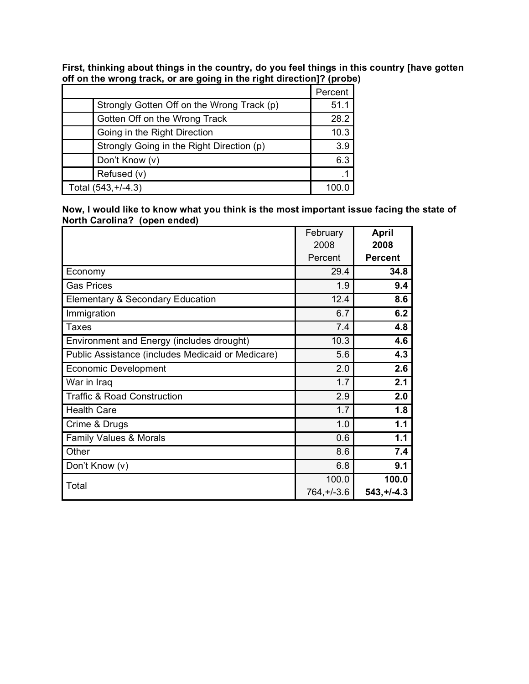**First, thinking about things in the country, do you feel things in this country [have gotten off on the wrong track, or are going in the right direction]? (probe)**

|                                            | Percent |
|--------------------------------------------|---------|
| Strongly Gotten Off on the Wrong Track (p) | 51.1    |
| Gotten Off on the Wrong Track              | 28.2    |
| Going in the Right Direction               | 10.3    |
| Strongly Going in the Right Direction (p)  | 3.9     |
| Don't Know (v)                             | 6.3     |
| Refused (v)                                |         |
| Total (543, +/-4.3)                        |         |

**Now, I would like to know what you think is the most important issue facing the state of North Carolina? (open ended)**

|                                                   | February      | <b>April</b>   |
|---------------------------------------------------|---------------|----------------|
|                                                   | 2008          | 2008           |
|                                                   | Percent       | <b>Percent</b> |
| Economy                                           | 29.4          | 34.8           |
| <b>Gas Prices</b>                                 | 1.9           | 9.4            |
| <b>Elementary &amp; Secondary Education</b>       | 12.4          | 8.6            |
| Immigration                                       | 6.7           | 6.2            |
| <b>Taxes</b>                                      | 7.4           | 4.8            |
| Environment and Energy (includes drought)         | 10.3          | 4.6            |
| Public Assistance (includes Medicaid or Medicare) | 5.6           | 4.3            |
| <b>Economic Development</b>                       | 2.0           | 2.6            |
| War in Iraq                                       | 1.7           | 2.1            |
| <b>Traffic &amp; Road Construction</b>            | 2.9           | 2.0            |
| <b>Health Care</b>                                | 1.7           | 1.8            |
| Crime & Drugs                                     | 1.0           | 1.1            |
| Family Values & Morals                            | 0.6           | 1.1            |
| Other                                             | 8.6           | 7.4            |
| Don't Know (v)                                    | 6.8           | 9.1            |
| Total                                             | 100.0         | 100.0          |
|                                                   | $764, +/-3.6$ | $543, +1 -4.3$ |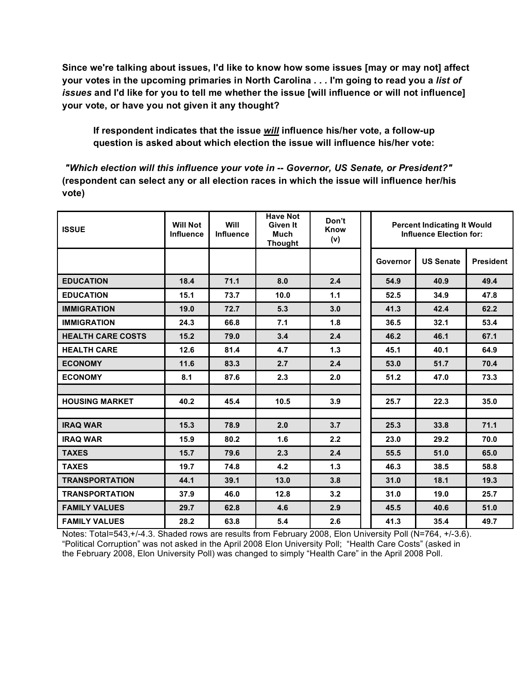**Since we're talking about issues, I'd like to know how some issues [may or may not] affect your votes in the upcoming primaries in North Carolina . . . I'm going to read you a** *list of issues* **and I'd like for you to tell me whether the issue [will influence or will not influence] your vote, or have you not given it any thought?**

**If respondent indicates that the issue** *will* **influence his/her vote, a follow-up question is asked about which election the issue will influence his/her vote:** 

*"Which election will this influence your vote in -- Governor, US Senate, or President?"* **(respondent can select any or all election races in which the issue will influence her/his vote)**

| <b>ISSUE</b>             | <b>Will Not</b><br><b>Influence</b> | Will<br>Influence | <b>Have Not</b><br>Given It<br><b>Much</b><br><b>Thought</b> | Don't<br>Know<br>(v) |          | <b>Percent Indicating It Would</b><br><b>Influence Election for:</b> |                  |  |
|--------------------------|-------------------------------------|-------------------|--------------------------------------------------------------|----------------------|----------|----------------------------------------------------------------------|------------------|--|
|                          |                                     |                   |                                                              |                      | Governor | <b>US Senate</b>                                                     | <b>President</b> |  |
| <b>EDUCATION</b>         | 18.4                                | 71.1              | 8.0                                                          | 2.4                  | 54.9     | 40.9                                                                 | 49.4             |  |
| <b>EDUCATION</b>         | 15.1                                | 73.7              | 10.0                                                         | 1.1                  | 52.5     | 34.9                                                                 | 47.8             |  |
| <b>IMMIGRATION</b>       | 19.0                                | 72.7              | 5.3                                                          | 3.0                  | 41.3     | 42.4                                                                 | 62.2             |  |
| <b>IMMIGRATION</b>       | 24.3                                | 66.8              | 7.1                                                          | 1.8                  | 36.5     | 32.1                                                                 | 53.4             |  |
| <b>HEALTH CARE COSTS</b> | 15.2                                | 79.0              | 3.4                                                          | 2.4                  | 46.2     | 46.1                                                                 | 67.1             |  |
| <b>HEALTH CARE</b>       | 12.6                                | 81.4              | 4.7                                                          | $1.3$                | 45.1     | 40.1                                                                 | 64.9             |  |
| <b>ECONOMY</b>           | 11.6                                | 83.3              | 2.7                                                          | 2.4                  | 53.0     | 51.7                                                                 | 70.4             |  |
| <b>ECONOMY</b>           | 8.1                                 | 87.6              | 2.3                                                          | 2.0                  | 51.2     | 47.0                                                                 | 73.3             |  |
|                          |                                     |                   |                                                              |                      |          |                                                                      |                  |  |
| <b>HOUSING MARKET</b>    | 40.2                                | 45.4              | 10.5                                                         | 3.9                  | 25.7     | 22.3                                                                 | 35.0             |  |
|                          |                                     |                   |                                                              |                      |          |                                                                      |                  |  |
| <b>IRAQ WAR</b>          | 15.3                                | 78.9              | 2.0                                                          | 3.7                  | 25.3     | 33.8                                                                 | 71.1             |  |
| <b>IRAQ WAR</b>          | 15.9                                | 80.2              | 1.6                                                          | 2.2                  | 23.0     | 29.2                                                                 | 70.0             |  |
| <b>TAXES</b>             | 15.7                                | 79.6              | 2.3                                                          | 2.4                  | 55.5     | 51.0                                                                 | 65.0             |  |
| <b>TAXES</b>             | 19.7                                | 74.8              | 4.2                                                          | 1.3                  | 46.3     | 38.5                                                                 | 58.8             |  |
| <b>TRANSPORTATION</b>    | 44.1                                | 39.1              | 13.0                                                         | 3.8                  | 31.0     | 18.1                                                                 | 19.3             |  |
| <b>TRANSPORTATION</b>    | 37.9                                | 46.0              | 12.8                                                         | 3.2                  | 31.0     | 19.0                                                                 | 25.7             |  |
| <b>FAMILY VALUES</b>     | 29.7                                | 62.8              | 4.6                                                          | 2.9                  | 45.5     | 40.6                                                                 | 51.0             |  |
| <b>FAMILY VALUES</b>     | 28.2                                | 63.8              | 5.4                                                          | 2.6                  | 41.3     | 35.4                                                                 | 49.7             |  |

Notes: Total=543,+/-4.3. Shaded rows are results from February 2008, Elon University Poll (N=764, +/-3.6). "Political Corruption" was not asked in the April 2008 Elon University Poll; "Health Care Costs" (asked in the February 2008, Elon University Poll) was changed to simply "Health Care" in the April 2008 Poll.